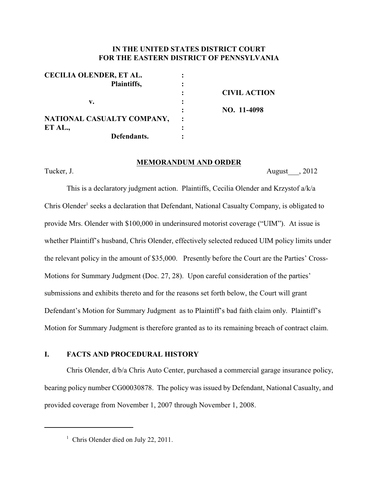## **IN THE UNITED STATES DISTRICT COURT FOR THE EASTERN DISTRICT OF PENNSYLVANIA**

| <b>CECILIA OLENDER, ET AL.</b> |                     |
|--------------------------------|---------------------|
| Plaintiffs,                    |                     |
|                                | <b>CIVIL ACTION</b> |
| v.                             |                     |
|                                | NO. 11-4098         |
| NATIONAL CASUALTY COMPANY,     |                     |
| ET AL.,                        |                     |
| Defendants.                    |                     |

#### **MEMORANDUM AND ORDER**

Tucker, J. August 2012

This is a declaratory judgment action. Plaintiffs, Cecilia Olender and Krzystof a/k/a Chris Olender<sup>1</sup> seeks a declaration that Defendant, National Casualty Company, is obligated to provide Mrs. Olender with \$100,000 in underinsured motorist coverage ("UIM"). At issue is whether Plaintiff's husband, Chris Olender, effectively selected reduced UIM policy limits under the relevant policy in the amount of \$35,000. Presently before the Court are the Parties' Cross-Motions for Summary Judgment (Doc. 27, 28). Upon careful consideration of the parties' submissions and exhibits thereto and for the reasons set forth below, the Court will grant Defendant's Motion for Summary Judgment as to Plaintiff's bad faith claim only. Plaintiff's Motion for Summary Judgment is therefore granted as to its remaining breach of contract claim.

## **I. FACTS AND PROCEDURAL HISTORY**

Chris Olender, d/b/a Chris Auto Center, purchased a commercial garage insurance policy, bearing policy number CG00030878. The policy was issued by Defendant, National Casualty, and provided coverage from November 1, 2007 through November 1, 2008.

<sup>&</sup>lt;sup>1</sup> Chris Olender died on July 22, 2011.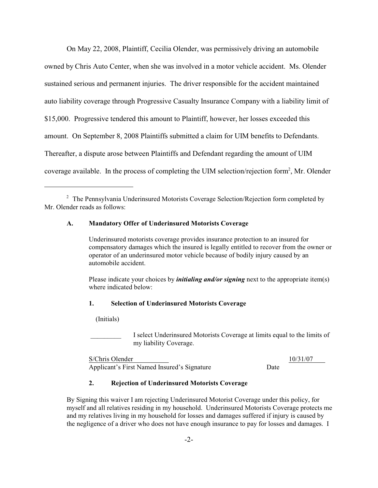On May 22, 2008, Plaintiff, Cecilia Olender, was permissively driving an automobile owned by Chris Auto Center, when she was involved in a motor vehicle accident. Ms. Olender sustained serious and permanent injuries. The driver responsible for the accident maintained auto liability coverage through Progressive Casualty Insurance Company with a liability limit of \$15,000. Progressive tendered this amount to Plaintiff, however, her losses exceeded this amount. On September 8, 2008 Plaintiffs submitted a claim for UIM benefits to Defendants. Thereafter, a dispute arose between Plaintiffs and Defendant regarding the amount of UIM coverage available. In the process of completing the UIM selection/rejection form<sup>2</sup>, Mr. Olender

### **A. Mandatory Offer of Underinsured Motorists Coverage**

Underinsured motorists coverage provides insurance protection to an insured for compensatory damages which the insured is legally entitled to recover from the owner or operator of an underinsured motor vehicle because of bodily injury caused by an automobile accident.

Please indicate your choices by *initialing and/or signing* next to the appropriate item(s) where indicated below:

#### **1. Selection of Underinsured Motorists Coverage**

(Initials)

I select Underinsured Motorists Coverage at limits equal to the limits of my liability Coverage.

S/Chris Olender 10/31/07 Applicant's First Named Insured's Signature Date

#### **2. Rejection of Underinsured Motorists Coverage**

By Signing this waiver I am rejecting Underinsured Motorist Coverage under this policy, for myself and all relatives residing in my household. Underinsured Motorists Coverage protects me and my relatives living in my household for losses and damages suffered if injury is caused by the negligence of a driver who does not have enough insurance to pay for losses and damages. I

 $2$  The Pennsylvania Underinsured Motorists Coverage Selection/Rejection form completed by Mr. Olender reads as follows: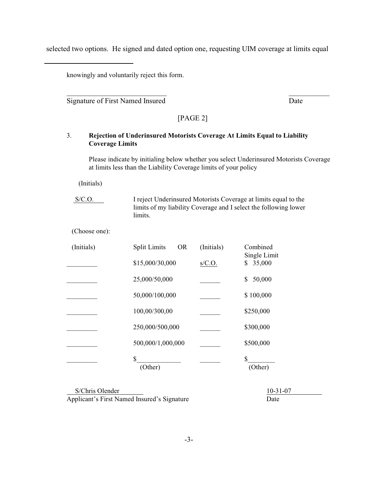selected two options. He signed and dated option one, requesting UIM coverage at limits equal

knowingly and voluntarily reject this form.

Signature of First Named Insured Date

[PAGE 2]

 $\overline{\phantom{a}}$  ,  $\overline{\phantom{a}}$  ,  $\overline{\phantom{a}}$  ,  $\overline{\phantom{a}}$  ,  $\overline{\phantom{a}}$  ,  $\overline{\phantom{a}}$  ,  $\overline{\phantom{a}}$  ,  $\overline{\phantom{a}}$  ,  $\overline{\phantom{a}}$  ,  $\overline{\phantom{a}}$  ,  $\overline{\phantom{a}}$  ,  $\overline{\phantom{a}}$  ,  $\overline{\phantom{a}}$  ,  $\overline{\phantom{a}}$  ,  $\overline{\phantom{a}}$  ,  $\overline{\phantom{a}}$ 

## 3. **Rejection of Underinsured Motorists Coverage At Limits Equal to Liability Coverage Limits**

Please indicate by initialing below whether you select Underinsured Motorists Coverage at limits less than the Liability Coverage limits of your policy

(Initials)

S/C.O. I reject Underinsured Motorists Coverage at limits equal to the limits of my liability Coverage and I select the following lower limits.

(Choose one):

| (Initials) | <b>OR</b><br><b>Split Limits</b> | (Initials) | Combined<br>Single Limit |
|------------|----------------------------------|------------|--------------------------|
|            | \$15,000/30,000                  | s/C.O.     | 35,000<br>\$             |
|            | 25,000/50,000                    |            | 50,000<br>\$             |
|            | 50,000/100,000                   |            | \$100,000                |
|            | 100,00/300,00                    |            | \$250,000                |
|            | 250,000/500,000                  |            | \$300,000                |
|            | 500,000/1,000,000                |            | \$500,000                |
|            | \$<br>(Other)                    |            | \$<br>(Other)            |

S/Chris Olender 10-31-07 Applicant's First Named Insured's Signature Date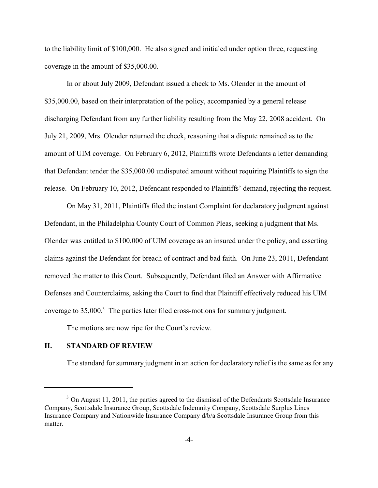to the liability limit of \$100,000. He also signed and initialed under option three, requesting coverage in the amount of \$35,000.00.

In or about July 2009, Defendant issued a check to Ms. Olender in the amount of \$35,000.00, based on their interpretation of the policy, accompanied by a general release discharging Defendant from any further liability resulting from the May 22, 2008 accident. On July 21, 2009, Mrs. Olender returned the check, reasoning that a dispute remained as to the amount of UIM coverage. On February 6, 2012, Plaintiffs wrote Defendants a letter demanding that Defendant tender the \$35,000.00 undisputed amount without requiring Plaintiffs to sign the release. On February 10, 2012, Defendant responded to Plaintiffs' demand, rejecting the request.

On May 31, 2011, Plaintiffs filed the instant Complaint for declaratory judgment against Defendant, in the Philadelphia County Court of Common Pleas, seeking a judgment that Ms. Olender was entitled to \$100,000 of UIM coverage as an insured under the policy, and asserting claims against the Defendant for breach of contract and bad faith. On June 23, 2011, Defendant removed the matter to this Court. Subsequently, Defendant filed an Answer with Affirmative Defenses and Counterclaims, asking the Court to find that Plaintiff effectively reduced his UIM coverage to  $35,000$ .<sup>3</sup> The parties later filed cross-motions for summary judgment.

The motions are now ripe for the Court's review.

# **II. STANDARD OF REVIEW**

The standard for summary judgment in an action for declaratory relief is the same as for any

 $3$  On August 11, 2011, the parties agreed to the dismissal of the Defendants Scottsdale Insurance Company, Scottsdale Insurance Group, Scottsdale Indemnity Company, Scottsdale Surplus Lines Insurance Company and Nationwide Insurance Company d/b/a Scottsdale Insurance Group from this matter.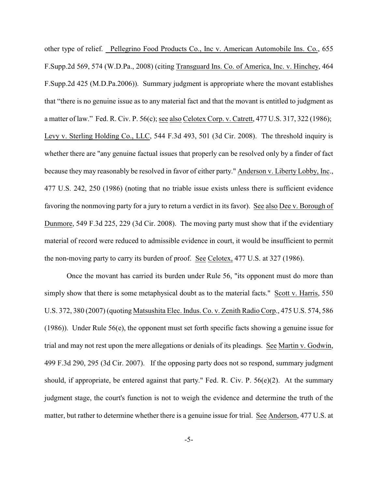other type of relief. Pellegrino Food Products Co., Inc v. American Automobile Ins. Co., 655 F.Supp.2d 569, 574 (W.D.Pa., 2008) (citing Transguard Ins. Co. of America, Inc. v. Hinchey, 464 F.Supp.2d 425 (M.D.Pa.2006)). Summary judgment is appropriate where the movant establishes that "there is no genuine issue as to any material fact and that the movant is entitled to judgment as a matter of law." Fed. R. Civ. P. 56(c); see also Celotex Corp. v. Catrett, 477 U.S. 317, 322 (1986); Levy v. Sterling Holding Co., LLC, 544 F.3d 493, 501 (3d Cir. 2008). The threshold inquiry is whether there are "any genuine factual issues that properly can be resolved only by a finder of fact because they may reasonably be resolved in favor of either party." Anderson v. Liberty Lobby, Inc., 477 U.S. 242, 250 (1986) (noting that no triable issue exists unless there is sufficient evidence favoring the nonmoving party for a jury to return a verdict in its favor). See also Dee v. Borough of Dunmore, 549 F.3d 225, 229 (3d Cir. 2008). The moving party must show that if the evidentiary material of record were reduced to admissible evidence in court, it would be insufficient to permit the non-moving party to carry its burden of proof. See Celotex, 477 U.S. at 327 (1986).

Once the movant has carried its burden under Rule 56, "its opponent must do more than simply show that there is some metaphysical doubt as to the material facts." Scott v. Harris, 550 U.S. 372, 380 (2007) (quoting Matsushita Elec. Indus. Co. v. Zenith Radio Corp., 475 U.S. 574, 586 (1986)). Under Rule 56(e), the opponent must set forth specific facts showing a genuine issue for trial and may not rest upon the mere allegations or denials of its pleadings. See Martin v. Godwin, 499 F.3d 290, 295 (3d Cir. 2007). If the opposing party does not so respond, summary judgment should, if appropriate, be entered against that party." Fed. R. Civ. P. 56(e)(2). At the summary judgment stage, the court's function is not to weigh the evidence and determine the truth of the matter, but rather to determine whether there is a genuine issue for trial. See Anderson, 477 U.S. at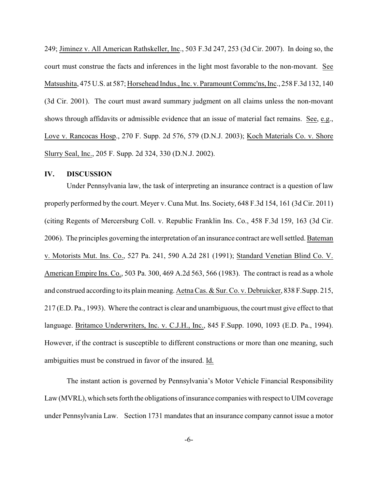249; Jiminez v. All American Rathskeller, Inc., 503 F.3d 247, 253 (3d Cir. 2007). In doing so, the court must construe the facts and inferences in the light most favorable to the non-movant. See Matsushita, 475 U.S. at 587; Horsehead Indus., Inc. v. Paramount Commc'ns, Inc., 258 F.3d 132, 140 (3d Cir. 2001). The court must award summary judgment on all claims unless the non-movant shows through affidavits or admissible evidence that an issue of material fact remains. See, e.g., Love v. Rancocas Hosp., 270 F. Supp. 2d 576, 579 (D.N.J. 2003); Koch Materials Co. v. Shore Slurry Seal, Inc., 205 F. Supp. 2d 324, 330 (D.N.J. 2002).

### **IV. DISCUSSION**

Under Pennsylvania law, the task of interpreting an insurance contract is a question of law properly performed by the court. Meyer v. Cuna Mut. Ins. Society, 648 F.3d 154, 161 (3d Cir. 2011) (citing Regents of Mercersburg Coll. v. Republic Franklin Ins. Co., 458 F.3d 159, 163 (3d Cir. 2006). The principles governing the interpretation of an insurance contract arewell settled. Bateman v. Motorists Mut. Ins. Co., 527 Pa. 241, 590 A.2d 281 (1991); Standard Venetian Blind Co. V. American Empire Ins. Co., 503 Pa. 300, 469 A.2d 563, 566 (1983). The contract is read as a whole and construed according to its plain meaning. Aetna Cas. & Sur. Co. v. Debruicker, 838 F.Supp. 215, 217 (E.D. Pa., 1993). Where the contract is clear and unambiguous, the court must give effect to that language. Britamco Underwriters, Inc. v. C.J.H., Inc., 845 F.Supp. 1090, 1093 (E.D. Pa., 1994). However, if the contract is susceptible to different constructions or more than one meaning, such ambiguities must be construed in favor of the insured. Id.

The instant action is governed by Pennsylvania's Motor Vehicle Financial Responsibility Law (MVRL), which sets forth the obligations of insurance companies with respect to UIM coverage under Pennsylvania Law. Section 1731 mandates that an insurance company cannot issue a motor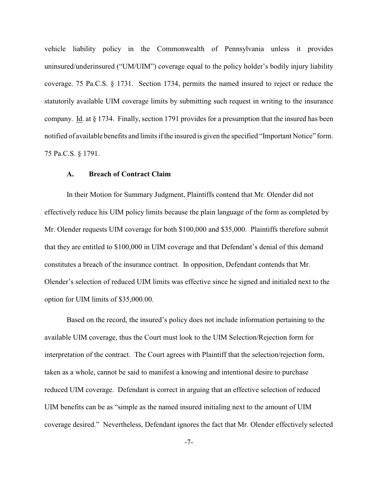vehicle liability policy in the Commonwealth of Pennsylvania unless it provides uninsured/underinsured ("UM/UIM") coverage equal to the policy holder's bodily injury liability coverage. 75 Pa.C.S. § 1731. Section 1734, permits the named insured to reject or reduce the statutorily available UIM coverage limits by submitting such request in writing to the insurance company. Id. at § 1734. Finally, section 1791 provides for a presumption that the insured has been notified of available benefits and limits if the insured is given the specified "Important Notice" form. 75 Pa.C.S. § 1791.

### **A. Breach of Contract Claim**

In their Motion for Summary Judgment, Plaintiffs contend that Mr. Olender did not effectively reduce his UIM policy limits because the plain language of the form as completed by Mr. Olender requests UIM coverage for both \$100,000 and \$35,000. Plaintiffs therefore submit that they are entitled to \$100,000 in UIM coverage and that Defendant's denial of this demand constitutes a breach of the insurance contract. In opposition, Defendant contends that Mr. Olender's selection of reduced UIM limits was effective since he signed and initialed next to the option for UIM limits of \$35,000.00.

Based on the record, the insured's policy does not include information pertaining to the available UIM coverage, thus the Court must look to the UIM Selection/Rejection form for interpretation of the contract. The Court agrees with Plaintiff that the selection/rejection form, taken as a whole, cannot be said to manifest a knowing and intentional desire to purchase reduced UIM coverage. Defendant is correct in arguing that an effective selection of reduced UIM benefits can be as "simple as the named insured initialing next to the amount of UIM coverage desired." Nevertheless, Defendant ignores the fact that Mr. Olender effectively selected

-7-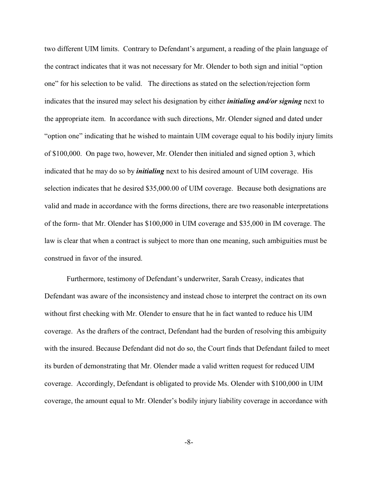two different UIM limits. Contrary to Defendant's argument, a reading of the plain language of the contract indicates that it was not necessary for Mr. Olender to both sign and initial "option one" for his selection to be valid. The directions as stated on the selection/rejection form indicates that the insured may select his designation by either *initialing and/or signing* next to the appropriate item. In accordance with such directions, Mr. Olender signed and dated under "option one" indicating that he wished to maintain UIM coverage equal to his bodily injury limits of \$100,000. On page two, however, Mr. Olender then initialed and signed option 3, which indicated that he may do so by *initialing* next to his desired amount of UIM coverage. His selection indicates that he desired \$35,000.00 of UIM coverage. Because both designations are valid and made in accordance with the forms directions, there are two reasonable interpretations of the form- that Mr. Olender has \$100,000 in UIM coverage and \$35,000 in IM coverage. The law is clear that when a contract is subject to more than one meaning, such ambiguities must be construed in favor of the insured.

Furthermore, testimony of Defendant's underwriter, Sarah Creasy, indicates that Defendant was aware of the inconsistency and instead chose to interpret the contract on its own without first checking with Mr. Olender to ensure that he in fact wanted to reduce his UIM coverage. As the drafters of the contract, Defendant had the burden of resolving this ambiguity with the insured. Because Defendant did not do so, the Court finds that Defendant failed to meet its burden of demonstrating that Mr. Olender made a valid written request for reduced UIM coverage. Accordingly, Defendant is obligated to provide Ms. Olender with \$100,000 in UIM coverage, the amount equal to Mr. Olender's bodily injury liability coverage in accordance with

-8-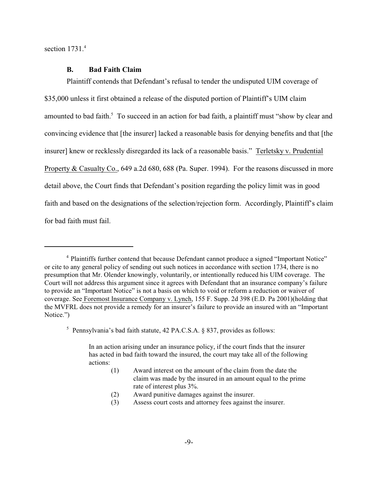section 1731.<sup>4</sup>

### **B. Bad Faith Claim**

Plaintiff contends that Defendant's refusal to tender the undisputed UIM coverage of \$35,000 unless it first obtained a release of the disputed portion of Plaintiff's UIM claim amounted to bad faith.<sup>5</sup> To succeed in an action for bad faith, a plaintiff must "show by clear and convincing evidence that [the insurer] lacked a reasonable basis for denying benefits and that [the insurer] knew or recklessly disregarded its lack of a reasonable basis." Terletsky v. Prudential Property & Casualty Co., 649 a.2d 680, 688 (Pa. Super. 1994). For the reasons discussed in more detail above, the Court finds that Defendant's position regarding the policy limit was in good faith and based on the designations of the selection/rejection form. Accordingly, Plaintiff's claim for bad faith must fail.

- (1) Award interest on the amount of the claim from the date the claim was made by the insured in an amount equal to the prime rate of interest plus 3%.
- (2) Award punitive damages against the insurer.
- (3) Assess court costs and attorney fees against the insurer.

<sup>&</sup>lt;sup>4</sup> Plaintiffs further contend that because Defendant cannot produce a signed "Important Notice" or cite to any general policy of sending out such notices in accordance with section 1734, there is no presumption that Mr. Olender knowingly, voluntarily, or intentionally reduced his UIM coverage. The Court will not address this argument since it agrees with Defendant that an insurance company's failure to provide an "Important Notice" is not a basis on which to void or reform a reduction or waiver of coverage. See Foremost Insurance Company v. Lynch, 155 F. Supp. 2d 398 (E.D. Pa 2001)(holding that the MVFRL does not provide a remedy for an insurer's failure to provide an insured with an "Important Notice.")

<sup>&</sup>lt;sup>5</sup> Pennsylvania's bad faith statute, 42 PA.C.S.A.  $\S$  837, provides as follows:

In an action arising under an insurance policy, if the court finds that the insurer has acted in bad faith toward the insured, the court may take all of the following actions: